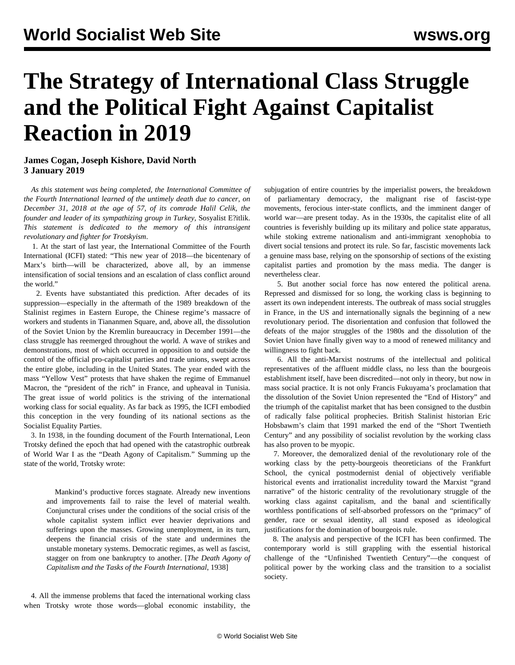# **The Strategy of International Class Struggle and the Political Fight Against Capitalist Reaction in 2019**

**James Cogan, Joseph Kishore, David North 3 January 2019**

 *As this statement was being completed, the International Committee of the Fourth International learned of the untimely death due to cancer, on December 31, 2018 at the age of 57, of its comrade Halil Celik, the founder and leader of its sympathizing group in Turkey,* Sosyalist E?itlik. *This statement is dedicated to the memory of this intransigent revolutionary and fighter for Trotskyism*.

 1. At the start of last year, the International Committee of the Fourth International (ICFI) stated: "This new year of 2018—the bicentenary of Marx's birth—will be characterized, above all, by an immense intensification of social tensions and an escalation of class conflict around the world."

 2. Events have substantiated this prediction. After decades of its suppression—especially in the aftermath of the 1989 breakdown of the Stalinist regimes in Eastern Europe, the Chinese regime's massacre of workers and students in Tiananmen Square, and, above all, the dissolution of the Soviet Union by the Kremlin bureaucracy in December 1991—the class struggle has reemerged throughout the world. A wave of strikes and demonstrations, most of which occurred in opposition to and outside the control of the official pro-capitalist parties and trade unions, swept across the entire globe, including in the United States. The year ended with the mass "Yellow Vest" protests that have shaken the regime of Emmanuel Macron, the "president of the rich" in France, and upheaval in Tunisia. The great issue of world politics is the striving of the international working class for social equality. As far back as 1995, the ICFI embodied this conception in the very founding of its national sections as the Socialist Equality Parties.

 3. In 1938, in the founding document of the Fourth International, Leon Trotsky defined the epoch that had opened with the catastrophic outbreak of World War I as the "Death Agony of Capitalism." Summing up the state of the world, Trotsky wrote:

 Mankind's productive forces stagnate. Already new inventions and improvements fail to raise the level of material wealth. Conjunctural crises under the conditions of the social crisis of the whole capitalist system inflict ever heavier deprivations and sufferings upon the masses. Growing unemployment, in its turn, deepens the financial crisis of the state and undermines the unstable monetary systems. Democratic regimes, as well as fascist, stagger on from one bankruptcy to another. [*The Death Agony of Capitalism and the Tasks of the Fourth International*, 1938]

 4. All the immense problems that faced the international working class when Trotsky wrote those words—global economic instability, the subjugation of entire countries by the imperialist powers, the breakdown of parliamentary democracy, the malignant rise of fascist-type movements, ferocious inter-state conflicts, and the imminent danger of world war—are present today. As in the 1930s, the capitalist elite of all countries is feverishly building up its military and police state apparatus, while stoking extreme nationalism and anti-immigrant xenophobia to divert social tensions and protect its rule. So far, fascistic movements lack a genuine mass base, relying on the sponsorship of sections of the existing capitalist parties and promotion by the mass media. The danger is nevertheless clear.

 5. But another social force has now entered the political arena. Repressed and dismissed for so long, the working class is beginning to assert its own independent interests. The outbreak of mass social struggles in France, in the US and internationally signals the beginning of a new revolutionary period. The disorientation and confusion that followed the defeats of the major struggles of the 1980s and the dissolution of the Soviet Union have finally given way to a mood of renewed militancy and willingness to fight back.

 6. All the anti-Marxist nostrums of the intellectual and political representatives of the affluent middle class, no less than the bourgeois establishment itself, have been discredited—not only in theory, but now in mass social practice. It is not only Francis Fukuyama's proclamation that the dissolution of the Soviet Union represented the "End of History" and the triumph of the capitalist market that has been consigned to the dustbin of radically false political prophecies. British Stalinist historian Eric Hobsbawm's claim that 1991 marked the end of the "Short Twentieth Century" and any possibility of socialist revolution by the working class has also proven to be myopic.

 7. Moreover, the demoralized denial of the revolutionary role of the working class by the petty-bourgeois theoreticians of the Frankfurt School, the cynical postmodernist denial of objectively verifiable historical events and irrationalist incredulity toward the Marxist "grand narrative" of the historic centrality of the revolutionary struggle of the working class against capitalism, and the banal and scientifically worthless pontifications of self-absorbed professors on the "primacy" of gender, race or sexual identity, all stand exposed as ideological justifications for the domination of bourgeois rule.

 8. The analysis and perspective of the ICFI has been confirmed. The contemporary world is still grappling with the essential historical challenge of the "Unfinished Twentieth Century"—the conquest of political power by the working class and the transition to a socialist society.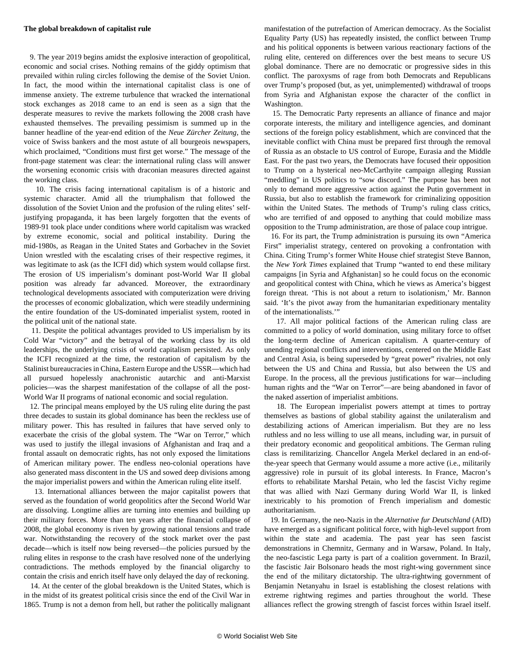### **The global breakdown of capitalist rule**

 9. The year 2019 begins amidst the explosive interaction of geopolitical, economic and social crises. Nothing remains of the giddy optimism that prevailed within ruling circles following the demise of the Soviet Union. In fact, the mood within the international capitalist class is one of immense anxiety. The extreme turbulence that wracked the international stock exchanges as 2018 came to an end is seen as a sign that the desperate measures to revive the markets following the 2008 crash have exhausted themselves. The prevailing pessimism is summed up in the banner headline of the year-end edition of the *Neue Zürcher Zeitung,* the voice of Swiss bankers and the most astute of all bourgeois newspapers, which proclaimed, "Conditions must first get worse." The message of the front-page statement was clear: the international ruling class will answer the worsening economic crisis with draconian measures directed against the working class.

 10. The crisis facing international capitalism is of a historic and systemic character. Amid all the triumphalism that followed the dissolution of the Soviet Union and the profusion of the ruling elites' selfjustifying propaganda, it has been largely forgotten that the events of 1989-91 took place under conditions where world capitalism was wracked by extreme economic, social and political instability. During the mid-1980s, as Reagan in the United States and Gorbachev in the Soviet Union wrestled with the escalating crises of their respective regimes, it was legitimate to ask (as the ICFI did) which system would collapse first. The erosion of US imperialism's dominant post-World War II global position was already far advanced. Moreover, the extraordinary technological developments associated with computerization were driving the processes of economic globalization, which were steadily undermining the entire foundation of the US-dominated imperialist system, rooted in the political unit of the national state.

 11. Despite the political advantages provided to US imperialism by its Cold War "victory" and the betrayal of the working class by its old leaderships, the underlying crisis of world capitalism persisted. As only the ICFI recognized at the time, the restoration of capitalism by the Stalinist bureaucracies in China, Eastern Europe and the USSR—which had all pursued hopelessly anachronistic autarchic and anti-Marxist policies—was the sharpest manifestation of the collapse of all the post-World War II programs of national economic and social regulation.

 12. The principal means employed by the US ruling elite during the past three decades to sustain its global dominance has been the reckless use of military power. This has resulted in failures that have served only to exacerbate the crisis of the global system. The "War on Terror," which was used to justify the illegal invasions of Afghanistan and Iraq and a frontal assault on democratic rights, has not only exposed the limitations of American military power. The endless neo-colonial operations have also generated mass discontent in the US and sowed deep divisions among the major imperialist powers and within the American ruling elite itself.

 13. International alliances between the major capitalist powers that served as the foundation of world geopolitics after the Second World War are dissolving. Longtime allies are turning into enemies and building up their military forces. More than ten years after the financial collapse of 2008, the global economy is riven by growing national tensions and trade war. Notwithstanding the recovery of the stock market over the past decade—which is itself now being reversed—the policies pursued by the ruling elites in response to the crash have resolved none of the underlying contradictions. The methods employed by the financial oligarchy to contain the crisis and enrich itself have only delayed the day of reckoning.

 14. At the center of the global breakdown is the United States, which is in the midst of its greatest political crisis since the end of the Civil War in 1865. Trump is not a demon from hell, but rather the politically malignant manifestation of the putrefaction of American democracy. As the Socialist Equality Party (US) has repeatedly insisted, the conflict between Trump and his political opponents is between various reactionary factions of the ruling elite, centered on differences over the best means to secure US global dominance. There are no democratic or progressive sides in this conflict. The paroxysms of rage from both Democrats and Republicans over Trump's proposed (but, as yet, unimplemented) withdrawal of troops from Syria and Afghanistan expose the character of the conflict in Washington.

 15. The Democratic Party represents an alliance of finance and major corporate interests, the military and intelligence agencies, and dominant sections of the foreign policy establishment, which are convinced that the inevitable conflict with China must be prepared first through the removal of Russia as an obstacle to US control of Europe, Eurasia and the Middle East. For the past two years, the Democrats have focused their opposition to Trump on a hysterical neo-McCarthyite campaign alleging Russian "meddling" in US politics to "sow discord." The purpose has been not only to demand more aggressive action against the Putin government in Russia, but also to establish the framework for criminalizing opposition within the United States. The methods of Trump's ruling class critics, who are terrified of and opposed to anything that could mobilize mass opposition to the Trump administration, are those of palace coup intrigue.

 16. For its part, the Trump administration is pursuing its own "America First" imperialist strategy, centered on provoking a confrontation with China. Citing Trump's former White House chief strategist Steve Bannon, the *New York Times* explained that Trump "wanted to end these military campaigns [in Syria and Afghanistan] so he could focus on the economic and geopolitical contest with China, which he views as America's biggest foreign threat. 'This is not about a return to isolationism,' Mr. Bannon said. 'It's the pivot away from the humanitarian expeditionary mentality of the internationalists.'"

 17. All major political factions of the American ruling class are committed to a policy of world domination, using military force to offset the long-term decline of American capitalism. A quarter-century of unending regional conflicts and interventions, centered on the Middle East and Central Asia, is being superseded by "great power" rivalries, not only between the US and China and Russia, but also between the US and Europe. In the process, all the previous justifications for war—including human rights and the "War on Terror"—are being abandoned in favor of the naked assertion of imperialist ambitions.

 18. The European imperialist powers attempt at times to portray themselves as bastions of global stability against the unilateralism and destabilizing actions of American imperialism. But they are no less ruthless and no less willing to use all means, including war, in pursuit of their predatory economic and geopolitical ambitions. The German ruling class is remilitarizing. Chancellor Angela Merkel declared in an end-ofthe-year speech that Germany would assume a more active (i.e., militarily aggressive) role in pursuit of its global interests. In France, Macron's efforts to rehabilitate Marshal Petain, who led the fascist Vichy regime that was allied with Nazi Germany during World War II, is linked inextricably to his promotion of French imperialism and domestic authoritarianism.

 19. In Germany, the neo-Nazis in the *Alternative fur Deutschland* (AfD) have emerged as a significant political force, with high-level support from within the state and academia. The past year has seen fascist demonstrations in Chemnitz, Germany and in Warsaw, Poland. In Italy, the neo-fascistic Lega party is part of a coalition government. In Brazil, the fascistic Jair Bolsonaro heads the most right-wing government since the end of the military dictatorship. The ultra-rightwing government of Benjamin Netanyahu in Israel is establishing the closest relations with extreme rightwing regimes and parties throughout the world. These alliances reflect the growing strength of fascist forces within Israel itself.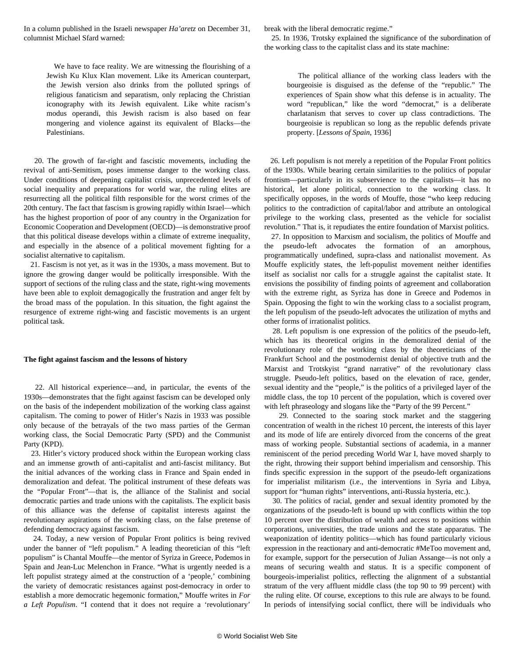In a column published in the Israeli newspaper *Ha'aretz* on December 31, columnist Michael Sfard warned:

 We have to face reality. We are witnessing the flourishing of a Jewish Ku Klux Klan movement. Like its American counterpart, the Jewish version also drinks from the polluted springs of religious fanaticism and separatism, only replacing the Christian iconography with its Jewish equivalent. Like white racism's modus operandi, this Jewish racism is also based on fear mongering and violence against its equivalent of Blacks—the Palestinians.

 20. The growth of far-right and fascistic movements, including the revival of anti-Semitism, poses immense danger to the working class. Under conditions of deepening capitalist crisis, unprecedented levels of social inequality and preparations for world war, the ruling elites are resurrecting all the political filth responsible for the worst crimes of the 20th century. The fact that fascism is growing rapidly within Israel—which has the highest proportion of poor of any country in the Organization for Economic Cooperation and Development (OECD)—is demonstrative proof that this political disease develops within a climate of extreme inequality, and especially in the absence of a political movement fighting for a socialist alternative to capitalism.

 21. Fascism is not yet, as it was in the 1930s, a mass movement. But to ignore the growing danger would be politically irresponsible. With the support of sections of the ruling class and the state, right-wing movements have been able to exploit demagogically the frustration and anger felt by the broad mass of the population. In this situation, the fight against the resurgence of extreme right-wing and fascistic movements is an urgent political task.

## **The fight against fascism and the lessons of history**

 22. All historical experience—and, in particular, the events of the 1930s—demonstrates that the fight against fascism can be developed only on the basis of the independent mobilization of the working class against capitalism. The coming to power of Hitler's Nazis in 1933 was possible only because of the betrayals of the two mass parties of the German working class, the Social Democratic Party (SPD) and the Communist Party (KPD).

 23. Hitler's victory produced shock within the European working class and an immense growth of anti-capitalist and anti-fascist militancy. But the initial advances of the working class in France and Spain ended in demoralization and defeat. The political instrument of these defeats was the "Popular Front"—that is, the alliance of the Stalinist and social democratic parties and trade unions with the capitalists. The explicit basis of this alliance was the defense of capitalist interests against the revolutionary aspirations of the working class, on the false pretense of defending democracy against fascism.

 24. Today, a new version of Popular Front politics is being revived under the banner of "left populism." A leading theoretician of this "left populism" is Chantal Mouffe—the mentor of Syriza in Greece, Podemos in Spain and Jean-Luc Melenchon in France. "What is urgently needed is a left populist strategy aimed at the construction of a 'people,' combining the variety of democratic resistances against post-democracy in order to establish a more democratic hegemonic formation," Mouffe writes in *For a Left Populism*. "I contend that it does not require a 'revolutionary'

break with the liberal democratic regime."

 25. In 1936, Trotsky explained the significance of the subordination of the working class to the capitalist class and its state machine:

 The political alliance of the working class leaders with the bourgeoisie is disguised as the defense of the "republic." The experiences of Spain show what this defense is in actuality. The word "republican," like the word "democrat," is a deliberate charlatanism that serves to cover up class contradictions. The bourgeoisie is republican so long as the republic defends private property. [*Lessons of Spain*, 1936]

 26. Left populism is not merely a repetition of the Popular Front politics of the 1930s. While bearing certain similarities to the politics of popular frontism—particularly in its subservience to the capitalists—it has no historical, let alone political, connection to the working class. It specifically opposes, in the words of Mouffe, those "who keep reducing politics to the contradiction of capital/labor and attribute an ontological privilege to the working class, presented as the vehicle for socialist revolution." That is, it repudiates the entire foundation of Marxist politics.

 27. In opposition to Marxism and socialism, the politics of Mouffe and the pseudo-left advocates the formation of an amorphous, programmatically undefined, supra-class and nationalist movement. As Mouffe explicitly states, the left-populist movement neither identifies itself as socialist nor calls for a struggle against the capitalist state. It envisions the possibility of finding points of agreement and collaboration with the extreme right, as Syriza has done in Greece and Podemos in Spain. Opposing the fight to win the working class to a socialist program, the left populism of the pseudo-left advocates the utilization of myths and other forms of irrationalist politics.

 28. Left populism is one expression of the politics of the pseudo-left, which has its theoretical origins in the demoralized denial of the revolutionary role of the working class by the theoreticians of the Frankfurt School and the postmodernist denial of objective truth and the Marxist and Trotskyist "grand narrative" of the revolutionary class struggle. Pseudo-left politics, based on the elevation of race, gender, sexual identity and the "people," is the politics of a privileged layer of the middle class, the top 10 percent of the population, which is covered over with left phraseology and slogans like the "Party of the 99 Percent."

 29. Connected to the soaring stock market and the staggering concentration of wealth in the richest 10 percent, the interests of this layer and its mode of life are entirely divorced from the concerns of the great mass of working people. Substantial sections of academia, in a manner reminiscent of the period preceding World War I, have moved sharply to the right, throwing their support behind imperialism and censorship. This finds specific expression in the support of the pseudo-left organizations for imperialist militarism (i.e., the interventions in Syria and Libya, support for "human rights" interventions, anti-Russia hysteria, etc.).

 30. The politics of racial, gender and sexual identity promoted by the organizations of the pseudo-left is bound up with conflicts within the top 10 percent over the distribution of wealth and access to positions within corporations, universities, the trade unions and the state apparatus. The weaponization of identity politics—which has found particularly vicious expression in the reactionary and anti-democratic #MeToo movement and, for example, support for the persecution of Julian Assange—is not only a means of securing wealth and status. It is a specific component of bourgeois-imperialist politics, reflecting the alignment of a substantial stratum of the very affluent middle class (the top 90 to 99 percent) with the ruling elite. Of course, exceptions to this rule are always to be found. In periods of intensifying social conflict, there will be individuals who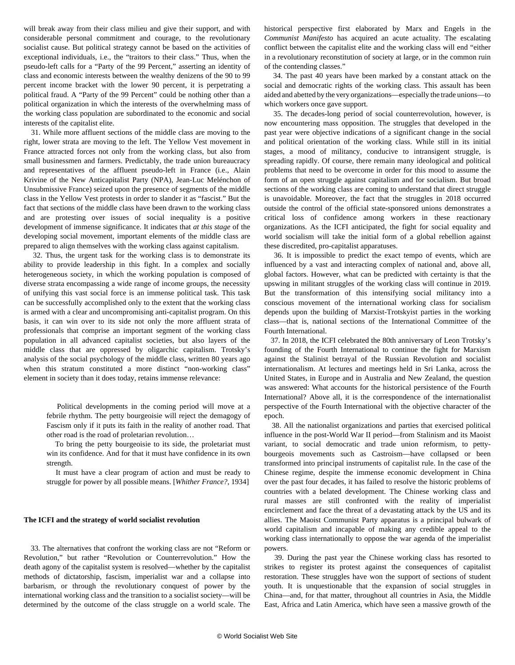will break away from their class milieu and give their support, and with considerable personal commitment and courage, to the revolutionary socialist cause. But political strategy cannot be based on the activities of exceptional individuals, i.e., the "traitors to their class." Thus, when the pseudo-left calls for a "Party of the 99 Percent," asserting an identity of class and economic interests between the wealthy denizens of the 90 to 99 percent income bracket with the lower 90 percent, it is perpetrating a political fraud. A "Party of the 99 Percent" could be nothing other than a political organization in which the interests of the overwhelming mass of the working class population are subordinated to the economic and social interests of the capitalist elite.

 31. While more affluent sections of the middle class are moving to the right, lower strata are moving to the left. The Yellow Vest movement in France attracted forces not only from the working class, but also from small businessmen and farmers. Predictably, the trade union bureaucracy and representatives of the affluent pseudo-left in France (i.e., Alain Krivine of the New Anticapitalist Party (NPA), Jean-Luc Melénchon of Unsubmissive France) seized upon the presence of segments of the middle class in the Yellow Vest protests in order to slander it as "fascist." But the fact that sections of the middle class have been drawn to the working class and are protesting over issues of social inequality is a positive development of immense significance. It indicates that *at this stage* of the developing social movement, important elements of the middle class are prepared to align themselves with the working class against capitalism.

 32. Thus, the urgent task for the working class is to demonstrate its ability to provide leadership in this fight. In a complex and socially heterogeneous society, in which the working population is composed of diverse strata encompassing a wide range of income groups, the necessity of unifying this vast social force is an immense political task. This task can be successfully accomplished only to the extent that the working class is armed with a clear and uncompromising anti-capitalist program. On this basis, it can win over to its side not only the more affluent strata of professionals that comprise an important segment of the working class population in all advanced capitalist societies, but also layers of the middle class that are oppressed by oligarchic capitalism. Trotsky's analysis of the social psychology of the middle class, written 80 years ago when this stratum constituted a more distinct "non-working class" element in society than it does today, retains immense relevance:

 Political developments in the coming period will move at a febrile rhythm. The petty bourgeoisie will reject the demagogy of Fascism only if it puts its faith in the reality of another road. That other road is the road of proletarian revolution…

 To bring the petty bourgeoisie to its side, the proletariat must win its confidence. And for that it must have confidence in its own strength.

 It must have a clear program of action and must be ready to struggle for power by all possible means. [*Whither France?*, 1934]

#### **The ICFI and the strategy of world socialist revolution**

 33. The alternatives that confront the working class are not "Reform or Revolution," but rather "Revolution or Counterrevolution." How the death agony of the capitalist system is resolved—whether by the capitalist methods of dictatorship, fascism, imperialist war and a collapse into barbarism, or through the revolutionary conquest of power by the international working class and the transition to a socialist society—will be determined by the outcome of the class struggle on a world scale. The historical perspective first elaborated by Marx and Engels in the *Communist Manifesto* has acquired an acute actuality. The escalating conflict between the capitalist elite and the working class will end "either in a revolutionary reconstitution of society at large, or in the common ruin of the contending classes."

 34. The past 40 years have been marked by a constant attack on the social and democratic rights of the working class. This assault has been aided and abetted by the very organizations—especially the trade unions—to which workers once gave support.

 35. The decades-long period of social counterrevolution, however, is now encountering mass opposition. The struggles that developed in the past year were objective indications of a significant change in the social and political orientation of the working class. While still in its initial stages, a mood of militancy, conducive to intransigent struggle, is spreading rapidly. Of course, there remain many ideological and political problems that need to be overcome in order for this mood to assume the form of an open struggle against capitalism and for socialism. But broad sections of the working class are coming to understand that direct struggle is unavoidable. Moreover, the fact that the struggles in 2018 occurred outside the control of the official state-sponsored unions demonstrates a critical loss of confidence among workers in these reactionary organizations. As the ICFI anticipated, the fight for social equality and world socialism will take the initial form of a global rebellion against these discredited, pro-capitalist apparatuses.

 36. It is impossible to predict the exact tempo of events, which are influenced by a vast and interacting complex of national and, above all, global factors. However, what can be predicted with certainty is that the upswing in militant struggles of the working class will continue in 2019. But the transformation of this intensifying social militancy into a conscious movement of the international working class for socialism depends upon the building of Marxist-Trotskyist parties in the working class—that is, national sections of the International Committee of the Fourth International.

 37. In 2018, the ICFI celebrated the 80th anniversary of Leon Trotsky's founding of the Fourth International to continue the fight for Marxism against the Stalinist betrayal of the Russian Revolution and socialist internationalism. At lectures and meetings held in Sri Lanka, across the United States, in Europe and in Australia and New Zealand, the question was answered: What accounts for the historical persistence of the Fourth International? Above all, it is the correspondence of the internationalist perspective of the Fourth International with the objective character of the epoch.

 38. All the nationalist organizations and parties that exercised political influence in the post-World War II period—from Stalinism and its Maoist variant, to social democratic and trade union reformism, to pettybourgeois movements such as Castroism—have collapsed or been transformed into principal instruments of capitalist rule. In the case of the Chinese regime, despite the immense economic development in China over the past four decades, it has failed to resolve the historic problems of countries with a belated development. The Chinese working class and rural masses are still confronted with the reality of imperialist encirclement and face the threat of a devastating attack by the US and its allies. The Maoist Communist Party apparatus is a principal bulwark of world capitalism and incapable of making any credible appeal to the working class internationally to oppose the war agenda of the imperialist powers.

 39. During the past year the Chinese working class has resorted to strikes to register its protest against the consequences of capitalist restoration. These struggles have won the support of sections of student youth. It is unquestionable that the expansion of social struggles in China—and, for that matter, throughout all countries in Asia, the Middle East, Africa and Latin America, which have seen a massive growth of the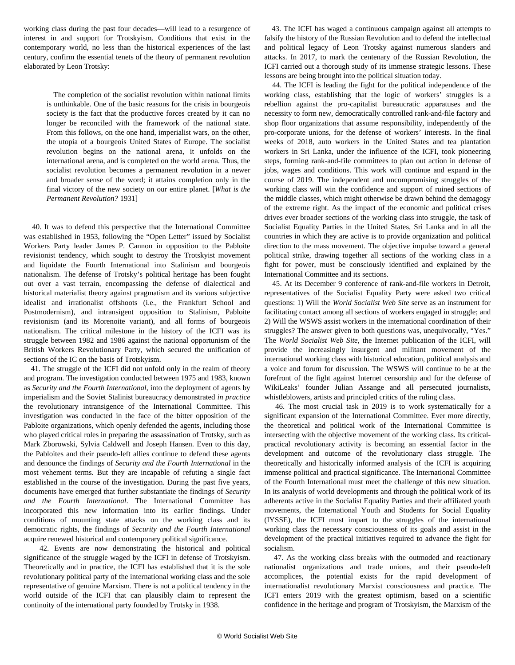working class during the past four decades—will lead to a resurgence of interest in and support for Trotskyism. Conditions that exist in the contemporary world, no less than the historical experiences of the last century, confirm the essential tenets of the theory of permanent revolution elaborated by Leon Trotsky:

 The completion of the socialist revolution within national limits is unthinkable. One of the basic reasons for the crisis in bourgeois society is the fact that the productive forces created by it can no longer be reconciled with the framework of the national state. From this follows, on the one hand, imperialist wars, on the other, the utopia of a bourgeois United States of Europe. The socialist revolution begins on the national arena, it unfolds on the international arena, and is completed on the world arena. Thus, the socialist revolution becomes a permanent revolution in a newer and broader sense of the word; it attains completion only in the final victory of the new society on our entire planet. [*What is the Permanent Revolution?* 1931]

 40. It was to defend this perspective that the International Committee was established in 1953, following the "Open Letter" issued by Socialist Workers Party leader James P. Cannon in opposition to the Pabloite revisionist tendency, which sought to destroy the Trotskyist movement and liquidate the Fourth International into Stalinism and bourgeois nationalism. The defense of Trotsky's political heritage has been fought out over a vast terrain, encompassing the defense of dialectical and historical materialist theory against pragmatism and its various subjective idealist and irrationalist offshoots (i.e., the Frankfurt School and Postmodernism), and intransigent opposition to Stalinism, Pabloite revisionism (and its Morenoite variant), and all forms of bourgeois nationalism. The critical milestone in the history of the ICFI was its struggle between 1982 and 1986 against the national opportunism of the British Workers Revolutionary Party, which secured the unification of sections of the IC on the basis of Trotskyism.

 41. The struggle of the ICFI did not unfold only in the realm of theory and program. The investigation conducted between 1975 and 1983, known as *Security and the Fourth International*, into the deployment of agents by imperialism and the Soviet Stalinist bureaucracy demonstrated *in practice* the revolutionary intransigence of the International Committee. This investigation was conducted in the face of the bitter opposition of the Pabloite organizations, which openly defended the agents, including those who played critical roles in preparing the assassination of Trotsky, such as Mark Zborowski, Sylvia Caldwell and Joseph Hansen. Even to this day, the Pabloites and their pseudo-left allies continue to defend these agents and denounce the findings of *Security and the Fourth International* in the most vehement terms. But they are incapable of refuting a single fact established in the course of the investigation. During the past five years, documents have emerged that further substantiate the findings of *Security and the Fourth International*. The International Committee has incorporated this new information into its earlier findings. Under conditions of mounting state attacks on the working class and its democratic rights, the findings of *Security and the Fourth International* acquire renewed historical and contemporary political significance.

 42. Events are now demonstrating the historical and political significance of the struggle waged by the ICFI in defense of Trotskyism. Theoretically and in practice, the ICFI has established that it is the sole revolutionary political party of the international working class and the sole representative of genuine Marxism. There is not a political tendency in the world outside of the ICFI that can plausibly claim to represent the continuity of the international party founded by Trotsky in 1938.

 43. The ICFI has waged a continuous campaign against all attempts to falsify the history of the Russian Revolution and to defend the intellectual and political legacy of Leon Trotsky against numerous slanders and attacks. In 2017, to mark the centenary of the Russian Revolution, the ICFI carried out a thorough study of its immense strategic lessons. These lessons are being brought into the political situation today.

 44. The ICFI is leading the fight for the political independence of the working class, establishing that the logic of workers' struggles is a rebellion against the pro-capitalist bureaucratic apparatuses and the necessity to form new, democratically controlled rank-and-file factory and shop floor organizations that assume responsibility, independently of the pro-corporate unions, for the defense of workers' interests. In the final weeks of 2018, auto workers in the United States and tea plantation workers in Sri Lanka, under the influence of the ICFI, took pioneering steps, forming rank-and-file committees to plan out action in defense of jobs, wages and conditions. This work will continue and expand in the course of 2019. The independent and uncompromising struggles of the working class will win the confidence and support of ruined sections of the middle classes, which might otherwise be drawn behind the demagogy of the extreme right. As the impact of the economic and political crises drives ever broader sections of the working class into struggle, the task of Socialist Equality Parties in the United States, Sri Lanka and in all the countries in which they are active is to provide organization and political direction to the mass movement. The objective impulse toward a general political strike, drawing together all sections of the working class in a fight for power, must be consciously identified and explained by the International Committee and its sections.

 45. At its December 9 conference of rank-and-file workers in Detroit, representatives of the Socialist Equality Party were asked two critical questions: 1) Will the *World Socialist Web Site* serve as an instrument for facilitating contact among all sections of workers engaged in struggle; and 2) Will the WSWS assist workers in the international coordination of their struggles? The answer given to both questions was, unequivocally, "Yes." The *World Socialist Web Site*, the Internet publication of the ICFI, will provide the increasingly insurgent and militant movement of the international working class with historical education, political analysis and a voice and forum for discussion. The WSWS will continue to be at the forefront of the fight against Internet censorship and for the defense of WikiLeaks' founder Julian Assange and all persecuted journalists, whistleblowers, artists and principled critics of the ruling class.

 46. The most crucial task in 2019 is to work systematically for a significant expansion of the International Committee. Ever more directly, the theoretical and political work of the International Committee is intersecting with the objective movement of the working class. Its criticalpractical revolutionary activity is becoming an essential factor in the development and outcome of the revolutionary class struggle. The theoretically and historically informed analysis of the ICFI is acquiring immense political and practical significance. The International Committee of the Fourth International must meet the challenge of this new situation. In its analysis of world developments and through the political work of its adherents active in the Socialist Equality Parties and their affiliated youth movements, the International Youth and Students for Social Equality (IYSSE), the ICFI must impart to the struggles of the international working class the necessary consciousness of its goals and assist in the development of the practical initiatives required to advance the fight for socialism.

 47. As the working class breaks with the outmoded and reactionary nationalist organizations and trade unions, and their pseudo-left accomplices, the potential exists for the rapid development of internationalist revolutionary Marxist consciousness and practice. The ICFI enters 2019 with the greatest optimism, based on a scientific confidence in the heritage and program of Trotskyism, the Marxism of the